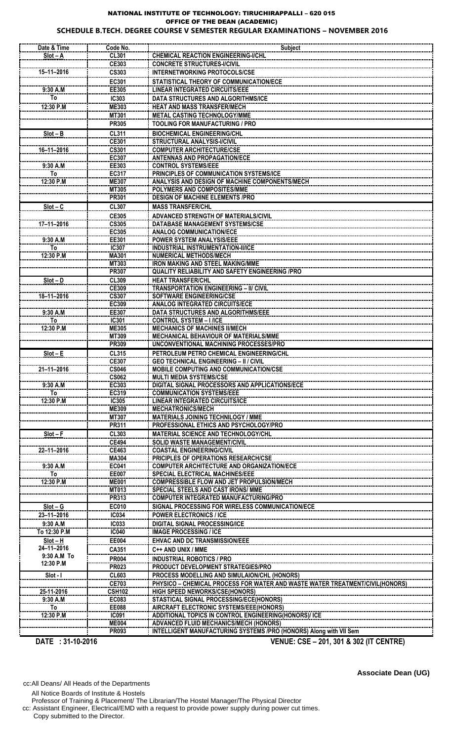## NATIONAL INSTITUTE OF TECHNOLOGY: TIRUCHIRAPPALLI – 620 015 OFFICE OF THE DEAN (ACADEMIC) **SCHEDULE B.TECH. DEGREE COURSE V SEMESTER REGULAR EXAMINATIONS – NOVEMBER 2016**

| Date & Time              | Code No.                     | <b>Subject</b>                                                                                               |
|--------------------------|------------------------------|--------------------------------------------------------------------------------------------------------------|
| $Slot - A$               | <b>CL301</b>                 | <b>CHEMICAL REACTION ENGINEERING-I/CHL</b>                                                                   |
| 15-11-2016               | CE303<br><b>CS303</b>        | <b>CONCRETE STRUCTURES-I/CIVIL</b><br><b>INTERNETWORKING PROTOCOLS/CSE</b>                                   |
|                          | EC301                        | STATISTICAL THEORY OF COMMUNICATION/ECE                                                                      |
| 9:30 A.M                 | EE305                        | <b>LINEAR INTEGRATED CIRCUITS/EEE</b>                                                                        |
| To                       | <b>IC303</b>                 | DATA STRUCTURES AND ALGORITHMS/ICE                                                                           |
| 12:30 P.M                | <b>ME303</b><br><b>MT301</b> | <b>HEAT AND MASS TRANSFER/MECH</b><br><b>METAL CASTING TECHNOLOGY/MME</b>                                    |
|                          | <b>PR305</b>                 | <b>TOOLING FOR MANUFACTURING / PRO</b>                                                                       |
| $Slot - B$               | <b>CL311</b>                 | <b>BIOCHEMICAL ENGINEERING/CHL</b>                                                                           |
| 16-11-2016               | <b>CE301</b><br><b>CS301</b> | <b>STRUCTURAL ANALYSIS-I/CIVIL</b><br><b>COMPUTER ARCHITECTURE/CSE</b>                                       |
|                          | <b>EC307</b>                 | <b>ANTENNAS AND PROPAGATION/ECE</b>                                                                          |
| 9:30 A.M                 | EE303                        | <b>CONTROL SYSTEMS/EEE</b>                                                                                   |
| To<br>12:30 P.M          | <b>EC317</b><br><b>ME307</b> | PRINCIPLES OF COMMUNICATION SYSTEMS/ICE<br>ANALYSIS AND DESIGN OF MACHINE COMPONENTS/MECH                    |
|                          | <b>MT305</b>                 | <b>POLYMERS AND COMPOSITES/MME</b>                                                                           |
|                          | <b>PR301</b>                 | <b>DESIGN OF MACHINE ELEMENTS /PRO</b>                                                                       |
| $Slot - C$               | <b>CL307</b>                 | <b>MASS TRANSFER/CHL</b>                                                                                     |
| 17-11-2016               | <b>CE305</b><br><b>CS305</b> | ADVANCED STRENGTH OF MATERIALS/CIVIL<br>DATABASE MANAGEMENT SYSTEMS/CSE                                      |
|                          | EC305                        | <b>ANALOG COMMUNICATION/ECE</b>                                                                              |
| 9:30 A.M<br>To           | EE301                        | <b>POWER SYSTEM ANALYSIS/EEE</b><br><b>INDUSTRIAL INSTRUMENTATION-II/ICE</b>                                 |
| 12:30 P.M                | IC307<br>MA301               | <b>NUMERICAL METHODS/MECH</b>                                                                                |
|                          | MT303                        | <b>IRON MAKING AND STEEL MAKING/MME</b>                                                                      |
| $Slot - D$               | <b>PR307</b><br><b>CL309</b> | <b>QUALITY RELIABILITY AND SAFETY ENGINEERING /PRO</b><br><b>HEAT TRANSFER/CHL</b>                           |
|                          | CE309                        | <b>TRANSPORTATION ENGINEERING - II/ CIVIL</b>                                                                |
| 18-11-2016               | <b>CS307</b>                 | <b>SOFTWARE ENGINEERING/CSE</b>                                                                              |
| 9:30 A.M                 | EC309<br>EE307               | <b>ANALOG INTEGRATED CIRCUITS/ECE</b><br>DATA STRUCTURES AND ALGORITHMS/EEE                                  |
| To                       | IC301                        | <b>CONTROL SYSTEM - I /ICE</b>                                                                               |
| 12:30 P.M                | <b>ME305</b>                 | <b>MECHANICS OF MACHINES II/MECH</b>                                                                         |
|                          | MT309<br><b>PR309</b>        | <b>MECHANICAL BEHAVIOUR OF MATERIALS/MME</b><br>UNCONVENTIONAL MACHINING PROCESSES/PRO                       |
| $Slot - E$               | CL315                        | PETROLEUM PETRO CHEMICAL ENGINEERING/CHL                                                                     |
|                          | <b>CE307</b>                 | <b>GEO TECHNICAL ENGINEERING - II / CIVIL</b>                                                                |
| $21 - 11 - 2016$         | <b>CS046</b><br><b>CS062</b> | MOBILE COMPUTING AND COMMUNICATION/CSE<br><b>MULTI MEDIA SYSTEMS/CSE</b>                                     |
| 9:30 A.M                 | EC303                        | DIGITAL SIGNAL PROCESSORS AND APPLICATIONS/ECE                                                               |
| To<br>12:30 P.M          | EC319<br>IC305               | <b>COMMUNICATION SYSTEMS/EEE</b><br>LINEAR INTEGRATED CIRCUITS/ICE                                           |
|                          | <b>ME309</b>                 | <b>MECHATRONICS/MECH</b>                                                                                     |
|                          | <b>MT307</b>                 | <b>MATERIALS JOINING TECHNILOGY / MME</b>                                                                    |
| $Slot - F$               | PR311<br><b>CL303</b>        | PROFESSIONAL ETHICS AND PSYCHOLOGY/PRO<br><b>MATERIAL SCIENCE AND TECHNOLOGY/CHL</b>                         |
|                          | <b>CE494</b>                 | <b>SOLID WASTE MANAGEMENT/CIVIL</b>                                                                          |
| 22-11-2016               | CE463                        | <b>COASTAL ENGINEERING/CIVIL</b>                                                                             |
| 9:30 A.M                 | MA304<br>EC041               | PRICIPLES OF OPERATIONS RESEARCH/CSE<br><b>COMPUTER ARCHITECTURE AND ORGANIZATION/ECE</b>                    |
| To                       | <b>EE007</b>                 | <b>SPECIAL ELECTRICAL MACHINES/EEE</b>                                                                       |
| 12:30 P.M                | <b>ME001</b>                 | <b>COMPRESSIBLE FLOW AND JET PROPULSION/MECH</b>                                                             |
|                          | <b>MT013</b><br>PR313        | <b>SPECIAL STEELS AND CAST IRONS/ MME</b><br><b>COMPUTER INTEGRATED MANUFACTURING/PRO</b>                    |
| $Slot - G$               | <b>EC010</b>                 | SIGNAL PROCESSING FOR WIRELESS COMMUNICATION/ECE                                                             |
| 23-11-2016               | <b>IC034</b>                 | <b>POWER ELECTRONICS / ICE</b>                                                                               |
| 9:30 A.M<br>To 12:30 P.M | <b>IC033</b><br><b>IC040</b> | <b>DIGITAL SIGNAL PROCESSING/ICE</b><br><b>IMAGE PROCESSING / ICE</b>                                        |
| $Slot - H$               | <b>EE004</b>                 | <b>EHVAC AND DC TRANSMISSION/EEE</b>                                                                         |
| 24-11-2016               | CA351                        | C++ AND UNIX / MME                                                                                           |
| 9:30 A.M To<br>12:30 P.M | <b>PR004</b>                 | <b>INDUSTRIAL ROBOTICS / PRO</b><br>PRODUCT DEVELOPMENT STRATEGIES/PRO                                       |
| Slot - I                 | <b>PR023</b><br><b>CL603</b> | PROCESS MODELLING AND SIMULAION/CHL (HONORS)                                                                 |
|                          | <b>CE703</b>                 | PHYSICO - CHEMICAL PROCESS FOR WATER AND WASTE WATER TREATMENT/CIVIL(HONORS)                                 |
| 25-11-2016<br>9:30 A.M   | <b>CSH102</b><br>EC083       | <b>HIGH SPEED NEWORKS/CSE(HONORS)</b><br>STASTICAL SIGNAL PROCESSING/ECE(HONORS)                             |
| To                       | EE088                        | AIRCRAFT ELECTRONIC SYSTEMS/EEE(HONORS)                                                                      |
| 12:30 P.M                | IC091                        | ADDITIONAL TOPICS IN CONTROL ENGINEERING(HONORS)/ ICE                                                        |
|                          | <b>ME004</b><br><b>PR093</b> | ADVANCED FLUID MECHANICS/MECH (HONORS)<br>INTELLIGENT MANUFACTURING SYSTEMS /PRO (HONORS) Along with VII Sem |
|                          |                              |                                                                                                              |

 **DATE : 31-10-2016 VENUE: CSE – 201, 301 & 302 (IT CENTRE)**

cc:All Deans/ All Heads of the Departments

All Notice Boards of Institute & Hostels

Professor of Training & Placement/ The Librarian/The Hostel Manager/The Physical Director

cc: Assistant Engineer, Electrical/EMD with a request to provide power supply during power cut times.

Copy submitted to the Director.

**Associate Dean (UG)**